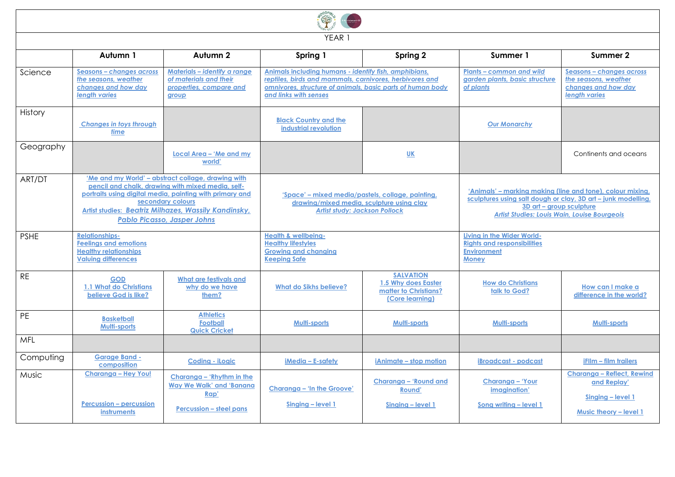| YEAR 1       |                                                                                                                                                                                                                                                                                        |                                                                                                        |                                                                                                                                                                                                         |                                                                                     |                                                                                                                                                                                                                |                                                                                                 |  |  |
|--------------|----------------------------------------------------------------------------------------------------------------------------------------------------------------------------------------------------------------------------------------------------------------------------------------|--------------------------------------------------------------------------------------------------------|---------------------------------------------------------------------------------------------------------------------------------------------------------------------------------------------------------|-------------------------------------------------------------------------------------|----------------------------------------------------------------------------------------------------------------------------------------------------------------------------------------------------------------|-------------------------------------------------------------------------------------------------|--|--|
|              | Autumn 1                                                                                                                                                                                                                                                                               | Autumn 2                                                                                               | Spring 1                                                                                                                                                                                                | Spring 2                                                                            | Summer 1                                                                                                                                                                                                       | Summer 2                                                                                        |  |  |
| Science      | Seasons - changes across<br>the seasons, weather<br>changes and how day<br><b>lenath varies</b>                                                                                                                                                                                        | Materials - identify a range<br>of materials and their<br>properties, compare and<br>group             | Animals including humans - identify fish, amphibians,<br>reptiles, birds and mammals, carnivores, herbivores and<br>omnivores, structure of animals, basic parts of human body<br>and links with senses |                                                                                     | Plants - common and wild<br>aarden plants, basic structure<br>of plants                                                                                                                                        | Seasons - changes across<br>the seasons, weather<br>changes and how day<br><b>lenath varies</b> |  |  |
| History      | <b>Changes in toys through</b><br>time                                                                                                                                                                                                                                                 |                                                                                                        | <b>Black Country and the</b><br>industrial revolution                                                                                                                                                   |                                                                                     | <b>Our Monarchy</b>                                                                                                                                                                                            |                                                                                                 |  |  |
| Geography    |                                                                                                                                                                                                                                                                                        | Local Area - 'Me and my<br>world'                                                                      |                                                                                                                                                                                                         | <b>UK</b>                                                                           |                                                                                                                                                                                                                | Continents and oceans                                                                           |  |  |
| ART/DT       | 'Me and my World' - abstract collage, drawing with<br>pencil and chalk, drawing with mixed media, self-<br>portraits using digital media, painting with primary and<br>secondary colours<br>Artist studies: Beatriz Milhazes, Wassily Kandinsky,<br><b>Pablo Picasso, Jasper Johns</b> |                                                                                                        | 'Space' – mixed media/pastels, collage, painting,<br>drawing/mixed media, sculpture using clay<br><b>Artist study: Jackson Pollock</b>                                                                  |                                                                                     | 'Animals' – marking making (line and tone), colour mixing,<br>sculptures using salt dough or clay, 3D art - junk modelling,<br>3D art - group sculpture<br><b>Artist Studies: Louis Wain, Louise Bourgeois</b> |                                                                                                 |  |  |
| <b>PSHE</b>  | <b>Relationships-</b><br><b>Feelings and emotions</b><br><b>Healthy relationships</b><br><b>Valuing differences</b>                                                                                                                                                                    |                                                                                                        | <b>Health &amp; wellbeing-</b><br><b>Healthy lifestyles</b><br><b>Growing and changing</b><br><b>Keeping Safe</b>                                                                                       |                                                                                     | Living in the Wider World-<br><b>Rights and responsibilities</b><br><b>Environment</b><br><b>Money</b>                                                                                                         |                                                                                                 |  |  |
| <b>RE</b>    | <b>GOD</b><br>1.1 What do Christians<br>believe God is like?                                                                                                                                                                                                                           | <b>What are festivals and</b><br>why do we have<br>them?                                               | <b>What do Sikhs believe?</b>                                                                                                                                                                           | <b>SALVATION</b><br>1.5 Why does Easter<br>matter to Christians?<br>(Core learning) | <b>How do Christians</b><br>talk to God?                                                                                                                                                                       | How can I make a<br>difference in the world?                                                    |  |  |
| PE           | <b>Basketball</b><br><b>Multi-sports</b>                                                                                                                                                                                                                                               | <b>Athletics</b><br><b>Football</b><br><b>Quick Cricket</b>                                            | <b>Multi-sports</b>                                                                                                                                                                                     | Multi-sports                                                                        | Multi-sports                                                                                                                                                                                                   | <b>Multi-sports</b>                                                                             |  |  |
| MFL          |                                                                                                                                                                                                                                                                                        |                                                                                                        |                                                                                                                                                                                                         |                                                                                     |                                                                                                                                                                                                                |                                                                                                 |  |  |
| Computing    | <b>Garage Band -</b><br>composition                                                                                                                                                                                                                                                    | <b>Coding - iLogic</b>                                                                                 | $i$ Media – E-safety                                                                                                                                                                                    | iAnimate – stop motion                                                              | <b>iBroadcast</b> - podcast                                                                                                                                                                                    | <b>iFilm – film trailers</b>                                                                    |  |  |
| <b>Music</b> | <b>Charanga - Hey You!</b><br><b>Percussion - percussion</b><br>instruments                                                                                                                                                                                                            | Charanga – 'Rhythm in the<br><b>Way We Walk' and 'Banana</b><br>Rap'<br><b>Percussion - steel pans</b> | Charanga - 'In the Groove'<br>Singing - level 1                                                                                                                                                         | Charanga - 'Round and<br><b>Round'</b><br>Singing - level 1                         | Charanga - 'Your<br>imagination'<br>Song writing - level 1                                                                                                                                                     | <b>Charanga - Reflect, Rewind</b><br>and Replay'<br>Singing - level 1<br>Music theory - level 1 |  |  |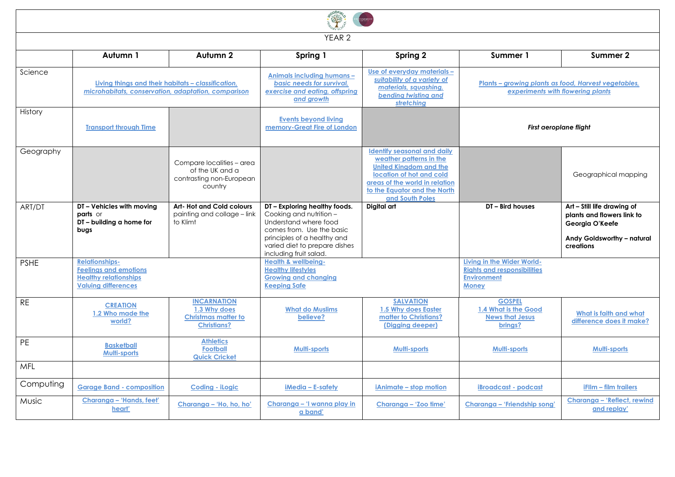| YEAR <sub>2</sub> |                                                                                                                     |                                                                                        |                                                                                                                                                                                                          |                                                                                                                                                                                                                 |                                                                                                        |                                                                                                                         |  |  |
|-------------------|---------------------------------------------------------------------------------------------------------------------|----------------------------------------------------------------------------------------|----------------------------------------------------------------------------------------------------------------------------------------------------------------------------------------------------------|-----------------------------------------------------------------------------------------------------------------------------------------------------------------------------------------------------------------|--------------------------------------------------------------------------------------------------------|-------------------------------------------------------------------------------------------------------------------------|--|--|
|                   | Autumn 1                                                                                                            | Autumn 2                                                                               | Spring 1                                                                                                                                                                                                 | Spring 2                                                                                                                                                                                                        | Summer 1                                                                                               | Summer 2                                                                                                                |  |  |
| Science           | Living things and their habitats - classification.<br>microhabitats, conservation, adaptation, comparison           |                                                                                        | Animals including humans -<br>basic needs for survival,<br>exercise and eating, offspring<br>and growth                                                                                                  | Use of everyday materials -<br>suitability of a variety of<br>materials, squashing,<br>bending twisting and<br>stretching                                                                                       | Plants - growing plants as food, Harvest vegetables,<br>experiments with flowering plants              |                                                                                                                         |  |  |
| History           | <b>Transport through Time</b>                                                                                       |                                                                                        | <b>Events beyond living</b><br>memory-Great Fire of London                                                                                                                                               |                                                                                                                                                                                                                 | <b>First aeroplane flight</b>                                                                          |                                                                                                                         |  |  |
| Geography         |                                                                                                                     | Compare localities - area<br>of the UK and a<br>contrasting non-European<br>country    |                                                                                                                                                                                                          | <b>Identify seasonal and daily</b><br>weather patterns in the<br><b>United Kingdom and the</b><br>location of hot and cold<br>areas of the world in relation<br>to the Eauator and the North<br>and South Poles |                                                                                                        | Geographical mapping                                                                                                    |  |  |
| ART/DT            | DT - Vehicles with moving<br>parts or<br>DT - building a home for<br>bugs                                           | <b>Art-Hot and Cold colours</b><br>painting and collage - link<br>to Klimt             | DT - Exploring healthy foods.<br>Cooking and nutrition -<br>Understand where food<br>comes from. Use the basic<br>principles of a healthy and<br>varied diet to prepare dishes<br>including fruit salad. | Digital art                                                                                                                                                                                                     | DT - Bird houses                                                                                       | Art - Still life drawing of<br>plants and flowers link to<br>Georgia O'Keefe<br>Andy Goldsworthy - natural<br>creations |  |  |
| <b>PSHE</b>       | <b>Relationships-</b><br><b>Feelings and emotions</b><br><b>Healthy relationships</b><br><b>Valuina differences</b> |                                                                                        | <b>Health &amp; wellbeing-</b><br><b>Healthy lifestyles</b><br><b>Growing and changing</b><br><b>Keeping Safe</b>                                                                                        |                                                                                                                                                                                                                 | Living in the Wider World-<br><b>Rights and responsibilities</b><br><b>Environment</b><br><b>Money</b> |                                                                                                                         |  |  |
| <b>RE</b>         | <b>CREATION</b><br>1.2 Who made the<br>world?                                                                       | <b>INCARNATION</b><br>1.3 Why does<br><b>Christmas matter to</b><br><b>Christians?</b> | <b>What do Muslims</b><br>believe?                                                                                                                                                                       | <b>SALVATION</b><br>1.5 Why does Easter<br>matter to Christians?<br>(Digging deeper)                                                                                                                            | <b>GOSPEL</b><br>1.4 What is the Good<br><b>News that Jesus</b><br>brings?                             | What is faith and what<br>difference does it make?                                                                      |  |  |
| PE                | <b>Basketball</b><br>Multi-sports                                                                                   | <b>Athletics</b><br><b>Football</b><br><b>Quick Cricket</b>                            | Multi-sports                                                                                                                                                                                             | <b>Multi-sports</b>                                                                                                                                                                                             | <b>Multi-sports</b>                                                                                    | <b>Multi-sports</b>                                                                                                     |  |  |
| <b>MFL</b>        |                                                                                                                     |                                                                                        |                                                                                                                                                                                                          |                                                                                                                                                                                                                 |                                                                                                        |                                                                                                                         |  |  |
| Computing         | <b>Garage Band - composition</b>                                                                                    | <b>Coding - iLogic</b>                                                                 | iMedia - E-safety                                                                                                                                                                                        | iAnimate - stop motion                                                                                                                                                                                          | <b>iBroadcast - podcast</b>                                                                            | <b>iFllm - film trailers</b>                                                                                            |  |  |
| Music             | Charanga - 'Hands, feet'<br>heart'                                                                                  | Charanga - 'Ho, ho, ho'                                                                | Charanga - 'I wanna play in<br>a band'                                                                                                                                                                   | Charanga - 'Zoo time'                                                                                                                                                                                           | Charanga - 'Friendship song'                                                                           | Charanga – 'Reflect, rewind<br>and replay'                                                                              |  |  |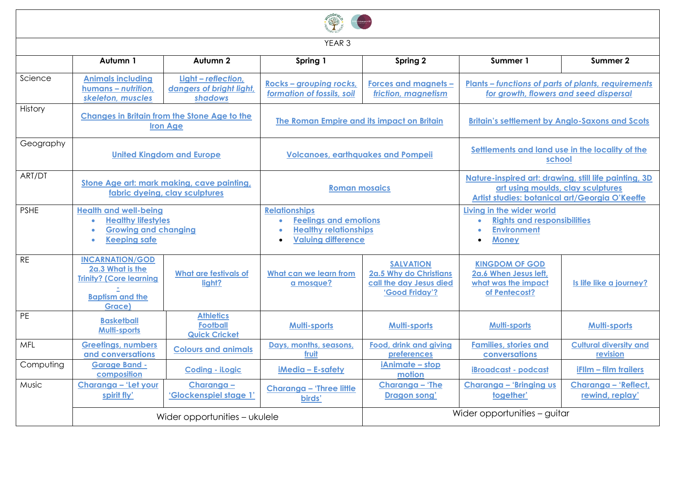| YEAR <sub>3</sub> |                                                                                                                                           |                                                                                                                     |                                                                                                                                |                                                                                         |                                                                                                                                              |                                           |  |  |
|-------------------|-------------------------------------------------------------------------------------------------------------------------------------------|---------------------------------------------------------------------------------------------------------------------|--------------------------------------------------------------------------------------------------------------------------------|-----------------------------------------------------------------------------------------|----------------------------------------------------------------------------------------------------------------------------------------------|-------------------------------------------|--|--|
|                   | Autumn 1                                                                                                                                  | Autumn 2                                                                                                            | Spring 1                                                                                                                       | Spring 2                                                                                | Summer 1                                                                                                                                     | Summer 2                                  |  |  |
| Science           | <b>Animals including</b><br>humans - nutrition,<br>skeleton, muscles                                                                      | Light - reflection,<br>Rocks - grouping rocks,<br>dangers of bright light.<br>formation of fossils, soil<br>shadows |                                                                                                                                | <b>Forces and magnets -</b><br>friction, magnetism                                      | <b>Plants - functions of parts of plants, requirements</b><br>for growth, flowers and seed dispersal                                         |                                           |  |  |
| History           | <b>Changes in Britain from the Stone Age to the</b><br><b>Iron Age</b>                                                                    |                                                                                                                     | The Roman Empire and its impact on Britain                                                                                     |                                                                                         | <b>Britain's settlement by Anglo-Saxons and Scots</b>                                                                                        |                                           |  |  |
| Geography         | <b>United Kingdom and Europe</b>                                                                                                          |                                                                                                                     | <b>Volcanoes, earthquakes and Pompeii</b>                                                                                      |                                                                                         | Settlements and land use in the locality of the<br>school                                                                                    |                                           |  |  |
| ART/DT            | Stone Age art: mark making, cave painting,<br>fabric dyeing, clay sculptures                                                              |                                                                                                                     | <b>Roman mosaics</b>                                                                                                           |                                                                                         | Nature-inspired art: drawing, still life painting, 3D<br>art using moulds, clay sculptures<br>Artist studies: botanical art/Georgia O'Keeffe |                                           |  |  |
| <b>PSHE</b>       | <b>Health and well-being</b><br><b>Healthy lifestyles</b><br><b>Growing and changing</b><br>$\bullet$<br><b>Keeping safe</b><br>$\bullet$ |                                                                                                                     | <b>Relationships</b><br><b>Feelings and emotions</b><br><b>Healthy relationships</b><br>$\bullet$<br><b>Valuing difference</b> |                                                                                         | Living in the wider world<br><b>Rights and responsibilities</b><br><b>Environment</b><br><b>Money</b>                                        |                                           |  |  |
| <b>RE</b>         | <b>INCARNATION/GOD</b><br>2a.3 What is the<br><b>Trinity? (Core learning</b><br><b>Baptism and the</b><br>Grace)                          | <b>What are festivals of</b><br>light?                                                                              | What can we learn from<br>a mosque?                                                                                            | <b>SALVATION</b><br>2a.5 Why do Christians<br>call the day Jesus died<br>'Good Friday'? | <b>KINGDOM OF GOD</b><br>2a.6 When Jesus left,<br>what was the impact<br>of Pentecost?                                                       | Is life like a journey?                   |  |  |
| PE                | <b>Athletics</b><br><b>Basketball</b><br><b>Football</b><br><b>Multi-sports</b><br><b>Quick Cricket</b>                                   |                                                                                                                     | Multi-sports                                                                                                                   | <b>Multi-sports</b>                                                                     | <b>Multi-sports</b>                                                                                                                          | <b>Multi-sports</b>                       |  |  |
| MFL               | <b>Greetings, numbers</b><br>and conversations                                                                                            | <b>Colours and animals</b>                                                                                          | Days, months, seasons,<br>fruit                                                                                                | Food, drink and giving<br>preferences                                                   | <b>Families, stories and</b><br>conversations                                                                                                | <b>Cultural diversity and</b><br>revision |  |  |
| Computing         | <b>Garage Band -</b><br>composition                                                                                                       | <b>Coding - iLogic</b>                                                                                              | iMedia - E-safety                                                                                                              | iAnimate - stop<br>motion                                                               | <b>iBroadcast</b> - podcast                                                                                                                  | <b>iFllm - film trailers</b>              |  |  |
| Music             | Charanga - 'Let your<br>spirit fly'                                                                                                       | Charanga -<br>'Glockenspiel stage 1'                                                                                | <b>Charanga - 'Three little</b><br>birds'                                                                                      | Charanga - 'The<br><b>Dragon song'</b>                                                  | Charanga - 'Bringing us<br>together'                                                                                                         | Charanga - 'Reflect,<br>rewind, replay'   |  |  |
|                   | Wider opportunities - ukulele                                                                                                             |                                                                                                                     |                                                                                                                                | Wider opportunities - guitar                                                            |                                                                                                                                              |                                           |  |  |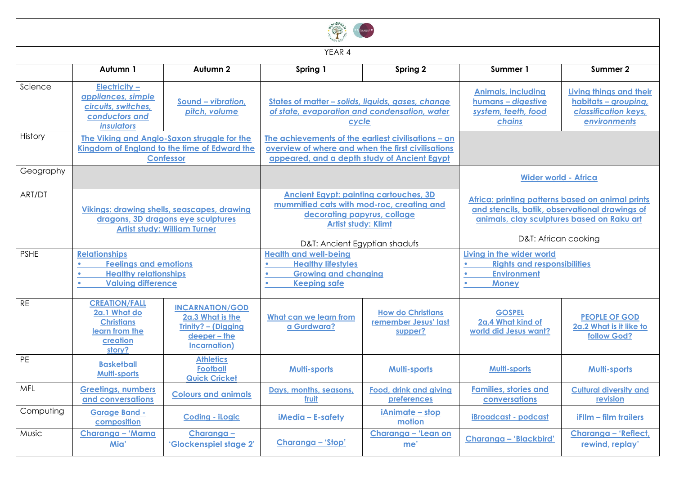| YEAR 4      |                                                                                                                                 |                                                                                                           |                                                                                                                                                                                          |                                                             |                                                                                                                                                                          |                                                                                         |  |  |  |
|-------------|---------------------------------------------------------------------------------------------------------------------------------|-----------------------------------------------------------------------------------------------------------|------------------------------------------------------------------------------------------------------------------------------------------------------------------------------------------|-------------------------------------------------------------|--------------------------------------------------------------------------------------------------------------------------------------------------------------------------|-----------------------------------------------------------------------------------------|--|--|--|
|             | Autumn 1                                                                                                                        | Autumn 2                                                                                                  | Spring 1                                                                                                                                                                                 | Spring 2                                                    | Summer 1                                                                                                                                                                 | Summer 2                                                                                |  |  |  |
| Science     | <b>Electricity -</b><br>appliances, simple<br>circuits, switches,<br>conductors and<br><i>insulators</i>                        | Sound - vibration,<br>pitch, volume                                                                       | States of matter - solids, liquids, gases, change<br>of state, evaporation and condensation, water<br>cycle                                                                              |                                                             | <b>Animals, including</b><br>humans - digestive<br>system, teeth, food<br>chains                                                                                         | Living things and their<br>habitats - grouping,<br>classification keys,<br>environments |  |  |  |
| History     | The Viking and Anglo-Saxon struggle for the<br>Kingdom of England to the time of Edward the<br><b>Confessor</b>                 |                                                                                                           | The achievements of the earliest civilisations - an<br>overview of where and when the first civilisations<br>appeared, and a depth study of Ancient Egypt                                |                                                             |                                                                                                                                                                          |                                                                                         |  |  |  |
| Geography   |                                                                                                                                 |                                                                                                           |                                                                                                                                                                                          |                                                             | <b>Wider world - Africa</b>                                                                                                                                              |                                                                                         |  |  |  |
| ART/DT      | <b>Vikings: drawing shells, seascapes, drawing</b><br>dragons, 3D dragons eye sculptures<br><b>Artist study: William Turner</b> |                                                                                                           | <b>Ancient Egypt: painting cartouches, 3D</b><br>mummified cats with mod-roc, creating and<br>decorating papyrus, collage<br><b>Artist study: Klimt</b><br>D&T: Ancient Egyptian shadufs |                                                             | Africa: printing patterns based on animal prints<br>and stencils, batik, observational drawings of<br>animals, clay sculptures based on Raku art<br>D&T: African cooking |                                                                                         |  |  |  |
| <b>PSHE</b> | <b>Relationships</b><br><b>Feelings and emotions</b><br><b>Healthy relationships</b><br><b>Valuing difference</b>               |                                                                                                           | <b>Health and well-being</b><br><b>Healthy lifestyles</b><br><b>Growing and changing</b><br><b>Keeping safe</b>                                                                          |                                                             | Living in the wider world<br><b>Rights and responsibilities</b><br><b>Environment</b><br><b>Money</b>                                                                    |                                                                                         |  |  |  |
| <b>RE</b>   | <b>CREATION/FALL</b><br>2a.1 What do<br><b>Christians</b><br>learn from the<br>creation<br>story?                               | <b>INCARNATION/GOD</b><br>2a.3 What is the<br>Trinity? - (Digging<br>deeper - the<br><b>Incarnation</b> ) | What can we learn from<br>a Gurdwara?                                                                                                                                                    | <b>How do Christians</b><br>remember Jesus' last<br>supper? | <b>GOSPEL</b><br>2a.4 What kind of<br>world did Jesus want?                                                                                                              | <b>PEOPLE OF GOD</b><br>2a.2 What is it like to<br>follow God?                          |  |  |  |
| PE          | <b>Basketball</b><br><b>Multi-sports</b>                                                                                        | <b>Athletics</b><br><b>Football</b><br><b>Quick Cricket</b>                                               | <b>Multi-sports</b>                                                                                                                                                                      | <b>Multi-sports</b>                                         | Multi-sports                                                                                                                                                             | <b>Multi-sports</b>                                                                     |  |  |  |
| MFL         | <b>Greetings, numbers</b><br>and conversations                                                                                  | <b>Colours and animals</b>                                                                                | Days, months, seasons,<br>fruit                                                                                                                                                          | Food, drink and giving<br>preferences                       | <b>Families, stories and</b><br>conversations                                                                                                                            | <b>Cultural diversity and</b><br>revision                                               |  |  |  |
| Computing   | <b>Garage Band -</b><br>composition                                                                                             | Coding - iLogic                                                                                           | iMedia - E-safety                                                                                                                                                                        | iAnimate - stop<br>motion                                   | <b>iBroadcast - podcast</b>                                                                                                                                              | <b>iFllm - film trailers</b>                                                            |  |  |  |
| Music       | Charanga - 'Mama<br>Mia'                                                                                                        | Charanga -<br>'Glockenspiel stage 2'                                                                      | Charanga - 'Stop'                                                                                                                                                                        | Charanga - 'Lean on<br>me'                                  | Charanga - 'Blackbird'                                                                                                                                                   | Charanga - 'Reflect,<br>rewind, replay'                                                 |  |  |  |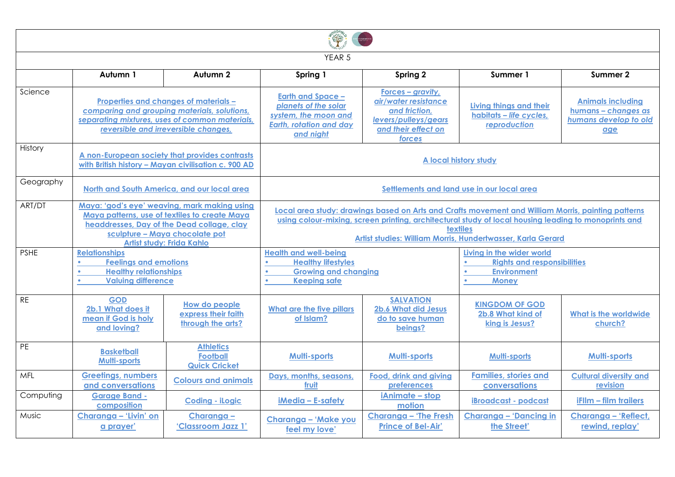| YEAR <sub>5</sub> |                                                                                                                                                                                                            |                                                                  |                                                                                                                                                                                                                                                                                              |                                                                                                                     |                                                                    |                                                                                 |  |  |  |
|-------------------|------------------------------------------------------------------------------------------------------------------------------------------------------------------------------------------------------------|------------------------------------------------------------------|----------------------------------------------------------------------------------------------------------------------------------------------------------------------------------------------------------------------------------------------------------------------------------------------|---------------------------------------------------------------------------------------------------------------------|--------------------------------------------------------------------|---------------------------------------------------------------------------------|--|--|--|
|                   | Autumn 1                                                                                                                                                                                                   | Autumn 2                                                         | Spring 1                                                                                                                                                                                                                                                                                     | Spring 2                                                                                                            | Summer 1                                                           | Summer 2                                                                        |  |  |  |
| Science           | Properties and changes of materials -<br>comparing and grouping materials, solutions,<br>separating mixtures, uses of common materials,<br>reversible and irreversible changes.                            |                                                                  | <b>Earth and Space -</b><br>planets of the solar<br>system, the moon and<br><b>Earth, rotation and day</b><br>and night                                                                                                                                                                      | Forces – gravity,<br>air/water resistance<br>and friction,<br>levers/pulleys/gears<br>and their effect on<br>forces | Living things and their<br>habitats - life cycles,<br>reproduction | <b>Animals including</b><br>humans - changes as<br>humans develop to old<br>age |  |  |  |
| History           | A non-European society that provides contrasts<br>with British history - Mayan civilisation c. 900 AD                                                                                                      |                                                                  | A local history study                                                                                                                                                                                                                                                                        |                                                                                                                     |                                                                    |                                                                                 |  |  |  |
| Geography         |                                                                                                                                                                                                            | North and South America, and our local area                      | Settlements and land use in our local area                                                                                                                                                                                                                                                   |                                                                                                                     |                                                                    |                                                                                 |  |  |  |
| ART/DT            | Maya: 'god's eye' weaving, mark making using<br>Maya patterns, use of textiles to create Maya<br>headdresses, Day of the Dead collage, clay<br>sculpture - Maya chocolate pot<br>Artist study: Frida Kahlo |                                                                  | Local area study: drawings based on Arts and Crafts movement and William Morris, painting patterns<br>using colour-mixing, screen printing, architectural study of local housing leading to monoprints and<br><b>textiles</b><br>Artist studies: William Morris, Hundertwasser, Karla Gerard |                                                                                                                     |                                                                    |                                                                                 |  |  |  |
| <b>PSHE</b>       | <b>Relationships</b><br><b>Feelings and emotions</b><br><b>Healthy relationships</b><br><b>Valuing difference</b><br>$\bullet$                                                                             |                                                                  | <b>Health and well-being</b><br>Living in the wider world<br><b>Healthy lifestyles</b><br><b>Rights and responsibilities</b><br><b>Growing and changing</b><br><b>Environment</b><br><b>Keeping safe</b><br><b>Money</b>                                                                     |                                                                                                                     |                                                                    |                                                                                 |  |  |  |
| <b>RE</b>         | <b>GOD</b><br>2b.1 What does it<br>mean if God is holy<br>and loving?                                                                                                                                      | <b>How do people</b><br>express their faith<br>through the arts? | What are the five pillars<br>of Islam?                                                                                                                                                                                                                                                       | <b>SALVATION</b><br>2b.6 What did Jesus<br>do to save human<br>beings?                                              | <b>KINGDOM OF GOD</b><br>2b.8 What kind of<br>king is Jesus?       | <b>What is the worldwide</b><br>church?                                         |  |  |  |
| PE                | <b>Basketball</b><br><b>Multi-sports</b>                                                                                                                                                                   | <b>Athletics</b><br><b>Football</b><br><b>Quick Cricket</b>      | <b>Multi-sports</b>                                                                                                                                                                                                                                                                          | <b>Multi-sports</b>                                                                                                 | <b>Multi-sports</b>                                                | <b>Multi-sports</b>                                                             |  |  |  |
| <b>MFL</b>        | <b>Greetings, numbers</b><br>and conversations                                                                                                                                                             | <b>Colours and animals</b>                                       | Days, months, seasons,<br>fruit                                                                                                                                                                                                                                                              | Food, drink and giving<br><b>preferences</b>                                                                        | <b>Families, stories and</b><br>conversations                      | <b>Cultural diversity and</b><br>revision                                       |  |  |  |
| Computing         | <b>Garage Band -</b><br>composition                                                                                                                                                                        | <b>Coding - iLogic</b>                                           | iMedia - E-safety                                                                                                                                                                                                                                                                            | iAnimate - stop<br>motion                                                                                           | <b>iBroadcast</b> - podcast                                        | iFllm - film trailers                                                           |  |  |  |
| <b>Music</b>      | Charanga - 'Livin' on<br>a prayer'                                                                                                                                                                         | Charanga-<br>'Classroom Jazz 1'                                  | Charanga - 'Make you<br>feel my love'                                                                                                                                                                                                                                                        | <b>Charanga - 'The Fresh</b><br><b>Prince of Bel-Air'</b>                                                           | <b>Charanga - 'Dancing in</b><br>the Street'                       | Charanga - 'Reflect,<br>rewind, replay'                                         |  |  |  |